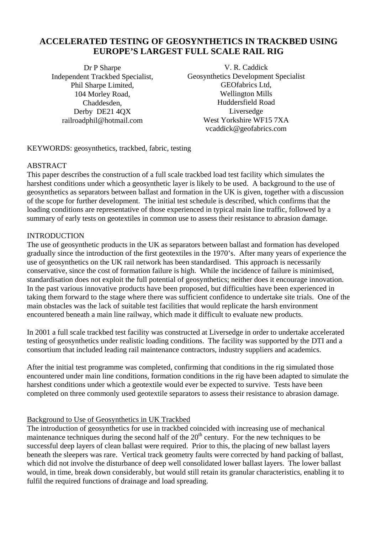# **ACCELERATED TESTING OF GEOSYNTHETICS IN TRACKBED USING EUROPE'S LARGEST FULL SCALE RAIL RIG**

Dr P Sharpe Independent Trackbed Specialist, Phil Sharpe Limited, 104 Morley Road, Chaddesden, Derby DE21 4QX railroadphil@hotmail.com

V. R. Caddick Geosynthetics Development Specialist GEOfabrics Ltd, Wellington Mills Huddersfield Road Liversedge West Yorkshire WF15 7XA vcaddick@geofabrics.com

KEYWORDS: geosynthetics, trackbed, fabric, testing

#### **ABSTRACT**

This paper describes the construction of a full scale trackbed load test facility which simulates the harshest conditions under which a geosynthetic layer is likely to be used. A background to the use of geosynthetics as separators between ballast and formation in the UK is given, together with a discussion of the scope for further development. The initial test schedule is described, which confirms that the loading conditions are representative of those experienced in typical main line traffic, followed by a summary of early tests on geotextiles in common use to assess their resistance to abrasion damage.

#### INTRODUCTION

The use of geosynthetic products in the UK as separators between ballast and formation has developed gradually since the introduction of the first geotextiles in the 1970's. After many years of experience the use of geosynthetics on the UK rail network has been standardised. This approach is necessarily conservative, since the cost of formation failure is high. While the incidence of failure is minimised, standardisation does not exploit the full potential of geosynthetics; neither does it encourage innovation. In the past various innovative products have been proposed, but difficulties have been experienced in taking them forward to the stage where there was sufficient confidence to undertake site trials. One of the main obstacles was the lack of suitable test facilities that would replicate the harsh environment encountered beneath a main line railway, which made it difficult to evaluate new products.

In 2001 a full scale trackbed test facility was constructed at Liversedge in order to undertake accelerated testing of geosynthetics under realistic loading conditions. The facility was supported by the DTI and a consortium that included leading rail maintenance contractors, industry suppliers and academics.

After the initial test programme was completed, confirming that conditions in the rig simulated those encountered under main line conditions, formation conditions in the rig have been adapted to simulate the harshest conditions under which a geotextile would ever be expected to survive. Tests have been completed on three commonly used geotextile separators to assess their resistance to abrasion damage.

#### Background to Use of Geosynthetics in UK Trackbed

The introduction of geosynthetics for use in trackbed coincided with increasing use of mechanical maintenance techniques during the second half of the  $20<sup>th</sup>$  century. For the new techniques to be successful deep layers of clean ballast were required. Prior to this, the placing of new ballast layers beneath the sleepers was rare. Vertical track geometry faults were corrected by hand packing of ballast, which did not involve the disturbance of deep well consolidated lower ballast layers. The lower ballast would, in time, break down considerably, but would still retain its granular characteristics, enabling it to fulfil the required functions of drainage and load spreading.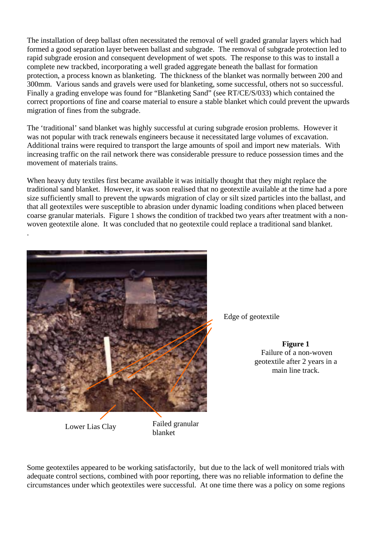The installation of deep ballast often necessitated the removal of well graded granular layers which had formed a good separation layer between ballast and subgrade. The removal of subgrade protection led to rapid subgrade erosion and consequent development of wet spots. The response to this was to install a complete new trackbed, incorporating a well graded aggregate beneath the ballast for formation protection, a process known as blanketing. The thickness of the blanket was normally between 200 and 300mm. Various sands and gravels were used for blanketing, some successful, others not so successful. Finally a grading envelope was found for "Blanketing Sand" (see RT/CE/S/033) which contained the correct proportions of fine and coarse material to ensure a stable blanket which could prevent the upwards migration of fines from the subgrade.

The 'traditional' sand blanket was highly successful at curing subgrade erosion problems. However it was not popular with track renewals engineers because it necessitated large volumes of excavation. Additional trains were required to transport the large amounts of spoil and import new materials. With increasing traffic on the rail network there was considerable pressure to reduce possession times and the movement of materials trains.

When heavy duty textiles first became available it was initially thought that they might replace the traditional sand blanket. However, it was soon realised that no geotextile available at the time had a pore size sufficiently small to prevent the upwards migration of clay or silt sized particles into the ballast, and that all geotextiles were susceptible to abrasion under dynamic loading conditions when placed between coarse granular materials. Figure 1 shows the condition of trackbed two years after treatment with a nonwoven geotextile alone. It was concluded that no geotextile could replace a traditional sand blanket.



Lower Lias Clay<br>blanket

.

Failed granular

Edge of geotextile

**Figure 1** Failure of a non-woven geotextile after 2 years in a main line track.

Some geotextiles appeared to be working satisfactorily, but due to the lack of well monitored trials with adequate control sections, combined with poor reporting, there was no reliable information to define the circumstances under which geotextiles were successful. At one time there was a policy on some regions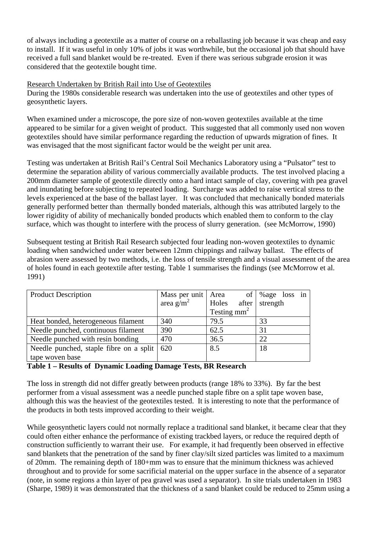of always including a geotextile as a matter of course on a reballasting job because it was cheap and easy to install. If it was useful in only 10% of jobs it was worthwhile, but the occasional job that should have received a full sand blanket would be re-treated. Even if there was serious subgrade erosion it was considered that the geotextile bought time.

### Research Undertaken by British Rail into Use of Geotextiles

During the 1980s considerable research was undertaken into the use of geotextiles and other types of geosynthetic layers.

When examined under a microscope, the pore size of non-woven geotextiles available at the time appeared to be similar for a given weight of product. This suggested that all commonly used non woven geotextiles should have similar performance regarding the reduction of upwards migration of fines. It was envisaged that the most significant factor would be the weight per unit area.

Testing was undertaken at British Rail's Central Soil Mechanics Laboratory using a "Pulsator" test to determine the separation ability of various commercially available products. The test involved placing a 200mm diameter sample of geotextile directly onto a hard intact sample of clay, covering with pea gravel and inundating before subjecting to repeated loading. Surcharge was added to raise vertical stress to the levels experienced at the base of the ballast layer. It was concluded that mechanically bonded materials generally performed better than thermally bonded materials, although this was attributed largely to the lower rigidity of ability of mechanically bonded products which enabled them to conform to the clay surface, which was thought to interfere with the process of slurry generation. (see McMorrow, 1990)

Subsequent testing at British Rail Research subjected four leading non-woven geotextiles to dynamic loading when sandwiched under water between 12mm chippings and railway ballast. The effects of abrasion were assessed by two methods, i.e. the loss of tensile strength and a visual assessment of the area of holes found in each geotextile after testing. Table 1 summarises the findings (see McMorrow et al. 1991)

| <b>Product Description</b>                          | Mass per unit   Area  | of <sup>1</sup> | %age loss in |
|-----------------------------------------------------|-----------------------|-----------------|--------------|
|                                                     | area g/m <sup>2</sup> | Holes<br>after  | strength     |
|                                                     |                       | Testing $mm2$   |              |
| Heat bonded, heterogeneous filament                 | 340                   | 79.5            | 33           |
| Needle punched, continuous filament                 | 390                   | 62.5            | 31           |
| Needle punched with resin bonding                   | 470                   | 36.5            | 22           |
| Needle punched, staple fibre on a split $\vert$ 620 |                       | 8.5             | 18           |
| tape woven base                                     |                       |                 |              |

#### **Table 1 – Results of Dynamic Loading Damage Tests, BR Research**

The loss in strength did not differ greatly between products (range 18% to 33%). By far the best performer from a visual assessment was a needle punched staple fibre on a split tape woven base, although this was the heaviest of the geotextiles tested. It is interesting to note that the performance of the products in both tests improved according to their weight.

While geosynthetic layers could not normally replace a traditional sand blanket, it became clear that they could often either enhance the performance of existing trackbed layers, or reduce the required depth of construction sufficiently to warrant their use. For example, it had frequently been observed in effective sand blankets that the penetration of the sand by finer clay/silt sized particles was limited to a maximum of 20mm. The remaining depth of 180+mm was to ensure that the minimum thickness was achieved throughout and to provide for some sacrificial material on the upper surface in the absence of a separator (note, in some regions a thin layer of pea gravel was used a separator). In site trials undertaken in 1983 (Sharpe, 1989) it was demonstrated that the thickness of a sand blanket could be reduced to 25mm using a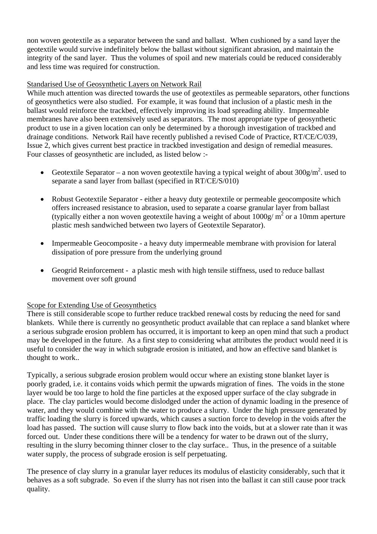non woven geotextile as a separator between the sand and ballast. When cushioned by a sand layer the geotextile would survive indefinitely below the ballast without significant abrasion, and maintain the integrity of the sand layer. Thus the volumes of spoil and new materials could be reduced considerably and less time was required for construction.

# Standarised Use of Geosynthetic Layers on Network Rail

While much attention was directed towards the use of geotextiles as permeable separators, other functions of geosynthetics were also studied. For example, it was found that inclusion of a plastic mesh in the ballast would reinforce the trackbed, effectively improving its load spreading ability. Impermeable membranes have also been extensively used as separators. The most appropriate type of geosynthetic product to use in a given location can only be determined by a thorough investigation of trackbed and drainage conditions. Network Rail have recently published a revised Code of Practice, RT/CE/C/039, Issue 2, which gives current best practice in trackbed investigation and design of remedial measures. Four classes of geosynthetic are included, as listed below :-

- Geotextile Separator a non woven geotextile having a typical weight of about  $300$ g/m<sup>2</sup>. used to separate a sand layer from ballast (specified in RT/CE/S/010)
- Robust Geotextile Separator either a heavy duty geotextile or permeable geocomposite which offers increased resistance to abrasion, used to separate a coarse granular layer from ballast (typically either a non woven geotextile having a weight of about  $1000g/m^2$  or a 10mm aperture plastic mesh sandwiched between two layers of Geotextile Separator).
- Impermeable Geocomposite a heavy duty impermeable membrane with provision for lateral dissipation of pore pressure from the underlying ground
- Geogrid Reinforcement a plastic mesh with high tensile stiffness, used to reduce ballast movement over soft ground

### Scope for Extending Use of Geosynthetics

There is still considerable scope to further reduce trackbed renewal costs by reducing the need for sand blankets. While there is currently no geosynthetic product available that can replace a sand blanket where a serious subgrade erosion problem has occurred, it is important to keep an open mind that such a product may be developed in the future. As a first step to considering what attributes the product would need it is useful to consider the way in which subgrade erosion is initiated, and how an effective sand blanket is thought to work..

Typically, a serious subgrade erosion problem would occur where an existing stone blanket layer is poorly graded, i.e. it contains voids which permit the upwards migration of fines. The voids in the stone layer would be too large to hold the fine particles at the exposed upper surface of the clay subgrade in place. The clay particles would become dislodged under the action of dynamic loading in the presence of water, and they would combine with the water to produce a slurry. Under the high pressure generated by traffic loading the slurry is forced upwards, which causes a suction force to develop in the voids after the load has passed. The suction will cause slurry to flow back into the voids, but at a slower rate than it was forced out. Under these conditions there will be a tendency for water to be drawn out of the slurry, resulting in the slurry becoming thinner closer to the clay surface.. Thus, in the presence of a suitable water supply, the process of subgrade erosion is self perpetuating.

The presence of clay slurry in a granular layer reduces its modulus of elasticity considerably, such that it behaves as a soft subgrade. So even if the slurry has not risen into the ballast it can still cause poor track quality.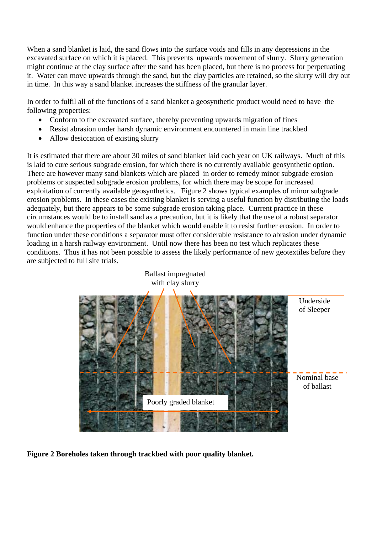When a sand blanket is laid, the sand flows into the surface voids and fills in any depressions in the excavated surface on which it is placed. This prevents upwards movement of slurry. Slurry generation might continue at the clay surface after the sand has been placed, but there is no process for perpetuating it. Water can move upwards through the sand, but the clay particles are retained, so the slurry will dry out in time. In this way a sand blanket increases the stiffness of the granular layer.

In order to fulfil all of the functions of a sand blanket a geosynthetic product would need to have the following properties:

- Conform to the excavated surface, thereby preventing upwards migration of fines
- Resist abrasion under harsh dynamic environment encountered in main line trackbed
- Allow desiccation of existing slurry

It is estimated that there are about 30 miles of sand blanket laid each year on UK railways. Much of this is laid to cure serious subgrade erosion, for which there is no currently available geosynthetic option. There are however many sand blankets which are placed in order to remedy minor subgrade erosion problems or suspected subgrade erosion problems, for which there may be scope for increased exploitation of currently available geosynthetics. Figure 2 shows typical examples of minor subgrade erosion problems. In these cases the existing blanket is serving a useful function by distributing the loads adequately, but there appears to be some subgrade erosion taking place. Current practice in these circumstances would be to install sand as a precaution, but it is likely that the use of a robust separator would enhance the properties of the blanket which would enable it to resist further erosion. In order to function under these conditions a separator must offer considerable resistance to abrasion under dynamic loading in a harsh railway environment. Until now there has been no test which replicates these conditions. Thus it has not been possible to assess the likely performance of new geotextiles before they are subjected to full site trials.



**Figure 2 Boreholes taken through trackbed with poor quality blanket.**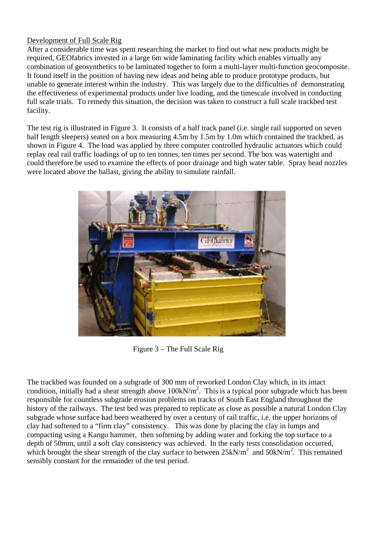# Development of Full Scale Rig

After a considerable time was spent researching the market to find out what new products might be required, GEOfabrics invested in a large 6m wide laminating facility which enables virtually any combination of geosynthetics to be laminated together to form a multi-layer multi-function geocomposite. It found itself in the position of having new ideas and being able to produce prototype products, but unable to generate interest within the industry. This was largely due to the difficulties of demonstrating the effectiveness of experimental products under live loading, and the timescale involved in conducting full scale trials. To remedy this situation, the decision was taken to construct a full scale trackbed test facility.

The test rig is illustrated in Figure 3. It consists of a half track panel (i.e. single rail supported on seven half length sleepers) seated on a box measuring 4.5m by 1.5m by 1.0m which contained the trackbed, as shown in Figure 4. The load was applied by three computer controlled hydraulic actuators which could replay real rail traffic loadings of up to ten tonnes, ten times per second. The box was watertight and could therefore be used to examine the effects of poor drainage and high water table. Spray head nozzles were located above the ballast, giving the ability to simulate rainfall.



Figure 3 – The Full Scale Rig

The trackbed was founded on a subgrade of 300 mm of reworked London Clay which, in its intact condition, initially had a shear strength above  $100 \text{kN/m}^2$ . This is a typical poor subgrade which has been responsible for countless subgrade erosion problems on tracks of South East England throughout the history of the railways. The test bed was prepared to replicate as close as possible a natural London Clay subgrade whose surface had been weathered by over a century of rail traffic, i.e. the upper horizons of clay had softened to a "firm clay" consistency. This was done by placing the clay in lumps and compacting using a Kango hammer, then softening by adding water and forking the top surface to a depth of 50mm, until a soft clay consistency was achieved. In the early tests consolidation occurred, which brought the shear strength of the clay surface to between  $25kN/m^2$  and  $50kN/m^2$ . This remained sensibly constant for the remainder of the test period.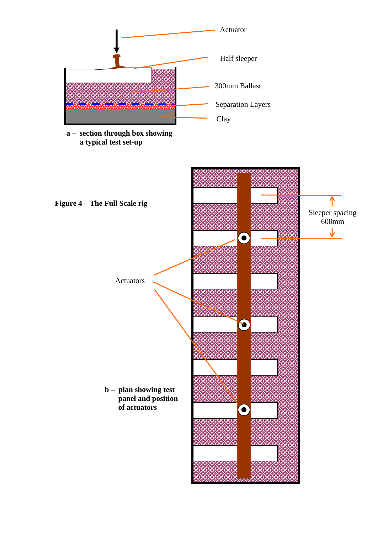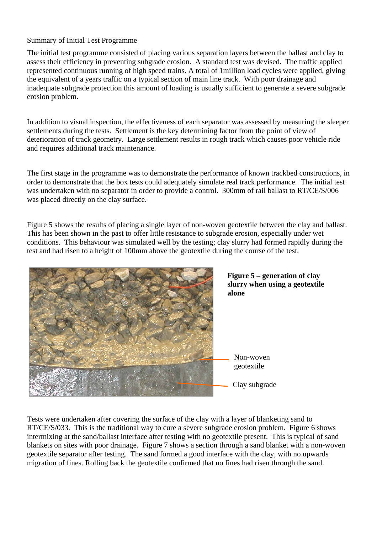# Summary of Initial Test Programme

The initial test programme consisted of placing various separation layers between the ballast and clay to assess their efficiency in preventing subgrade erosion. A standard test was devised. The traffic applied represented continuous running of high speed trains. A total of 1million load cycles were applied, giving the equivalent of a years traffic on a typical section of main line track. With poor drainage and inadequate subgrade protection this amount of loading is usually sufficient to generate a severe subgrade erosion problem.

In addition to visual inspection, the effectiveness of each separator was assessed by measuring the sleeper settlements during the tests. Settlement is the key determining factor from the point of view of deterioration of track geometry. Large settlement results in rough track which causes poor vehicle ride and requires additional track maintenance.

The first stage in the programme was to demonstrate the performance of known trackbed constructions, in order to demonstrate that the box tests could adequately simulate real track performance. The initial test was undertaken with no separator in order to provide a control. 300mm of rail ballast to RT/CE/S/006 was placed directly on the clay surface.

Figure 5 shows the results of placing a single layer of non-woven geotextile between the clay and ballast. This has been shown in the past to offer little resistance to subgrade erosion, especially under wet conditions. This behaviour was simulated well by the testing; clay slurry had formed rapidly during the test and had risen to a height of 100mm above the geotextile during the course of the test.





Tests were undertaken after covering the surface of the clay with a layer of blanketing sand to RT/CE/S/033. This is the traditional way to cure a severe subgrade erosion problem. Figure 6 shows intermixing at the sand/ballast interface after testing with no geotextile present. This is typical of sand blankets on sites with poor drainage. Figure 7 shows a section through a sand blanket with a non-woven geotextile separator after testing. The sand formed a good interface with the clay, with no upwards migration of fines. Rolling back the geotextile confirmed that no fines had risen through the sand.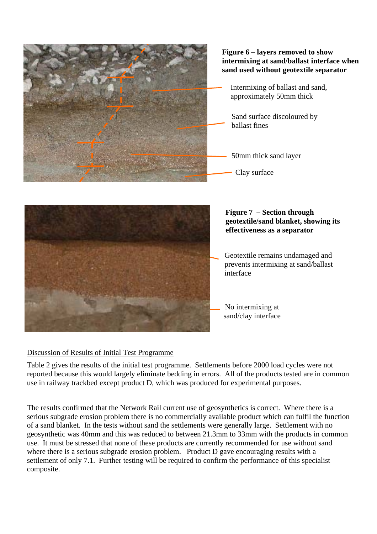

# **Figure 6 – layers removed to show intermixing at sand/ballast interface when sand used without geotextile separator**

- Intermixing of ballast and sand, approximately 50mm thick
	- Sand surface discoloured by ballast fines
- 50mm thick sand layer

Clay surface



# **Figure 7 – Section through geotextile/sand blanket, showing its effectiveness as a separator**

Geotextile remains undamaged and prevents intermixing at sand/ballast interface

No intermixing at sand/clay interface

# Discussion of Results of Initial Test Programme

Table 2 gives the results of the initial test programme. Settlements before 2000 load cycles were not reported because this would largely eliminate bedding in errors. All of the products tested are in common use in railway trackbed except product D, which was produced for experimental purposes.

The results confirmed that the Network Rail current use of geosynthetics is correct. Where there is a serious subgrade erosion problem there is no commercially available product which can fulfil the function of a sand blanket. In the tests without sand the settlements were generally large. Settlement with no geosynthetic was 40mm and this was reduced to between 21.3mm to 33mm with the products in common use. It must be stressed that none of these products are currently recommended for use without sand where there is a serious subgrade erosion problem. Product D gave encouraging results with a settlement of only 7.1. Further testing will be required to confirm the performance of this specialist composite.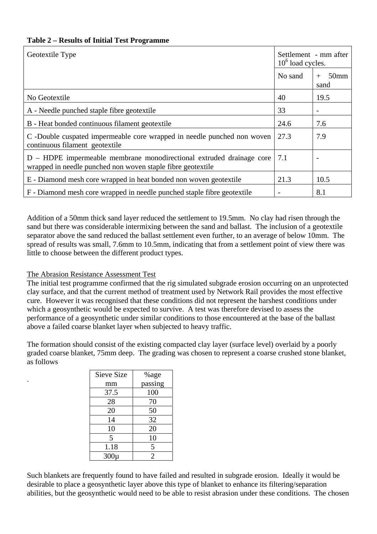|  |  |  | <b>Table 2 – Results of Initial Test Programme</b> |
|--|--|--|----------------------------------------------------|
|  |  |  |                                                    |

| Geotextile Type                                                                                                                     | Settlement - mm after<br>$106$ load cycles. |                                 |
|-------------------------------------------------------------------------------------------------------------------------------------|---------------------------------------------|---------------------------------|
|                                                                                                                                     | No sand                                     | 50 <sub>mm</sub><br>$+$<br>sand |
| No Geotextile                                                                                                                       | 40                                          | 19.5                            |
| A - Needle punched staple fibre geotextile                                                                                          | 33                                          | $\overline{\phantom{a}}$        |
| B - Heat bonded continuous filament geotextile                                                                                      | 24.6                                        | 7.6                             |
| C -Double cuspated impermeable core wrapped in needle punched non woven<br>continuous filament geotextile                           | 27.3                                        | 7.9                             |
| D – HDPE impermeable membrane monodirectional extruded drainage core<br>wrapped in needle punched non woven staple fibre geotextile | 7.1                                         |                                 |
| E - Diamond mesh core wrapped in heat bonded non woven geotextile                                                                   | 21.3                                        | 10.5                            |
| F - Diamond mesh core wrapped in needle punched staple fibre geotextile                                                             |                                             | 8.1                             |

Addition of a 50mm thick sand layer reduced the settlement to 19.5mm. No clay had risen through the sand but there was considerable intermixing between the sand and ballast. The inclusion of a geotextile separator above the sand reduced the ballast settlement even further, to an average of below 10mm. The spread of results was small, 7.6mm to 10.5mm, indicating that from a settlement point of view there was little to choose between the different product types.

### The Abrasion Resistance Assessment Test

.

The initial test programme confirmed that the rig simulated subgrade erosion occurring on an unprotected clay surface, and that the current method of treatment used by Network Rail provides the most effective cure. However it was recognised that these conditions did not represent the harshest conditions under which a geosynthetic would be expected to survive. A test was therefore devised to assess the performance of a geosynthetic under similar conditions to those encountered at the base of the ballast above a failed coarse blanket layer when subjected to heavy traffic.

The formation should consist of the existing compacted clay layer (surface level) overlaid by a poorly graded coarse blanket, 75mm deep. The grading was chosen to represent a coarse crushed stone blanket, as follows

| Sieve Size | %age           |
|------------|----------------|
| mm         | passing        |
| 37.5       | 100            |
| 28         | 70             |
| 20         | 50             |
| 14         | 32             |
| 10         | 20             |
| 5          | 10             |
| 1.18       | 5              |
| $300\mu$   | $\overline{2}$ |

Such blankets are frequently found to have failed and resulted in subgrade erosion. Ideally it would be desirable to place a geosynthetic layer above this type of blanket to enhance its filtering/separation abilities, but the geosynthetic would need to be able to resist abrasion under these conditions. The chosen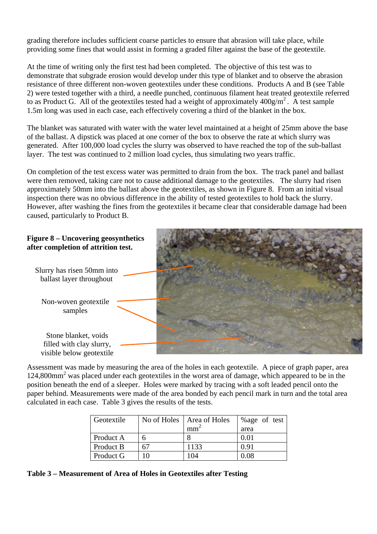grading therefore includes sufficient coarse particles to ensure that abrasion will take place, while providing some fines that would assist in forming a graded filter against the base of the geotextile.

At the time of writing only the first test had been completed. The objective of this test was to demonstrate that subgrade erosion would develop under this type of blanket and to observe the abrasion resistance of three different non-woven geotextiles under these conditions. Products A and B (see Table 2) were tested together with a third, a needle punched, continuous filament heat treated geotextile referred to as Product G. All of the geotextiles tested had a weight of approximately  $400g/m^2$ . A test sample 1.5m long was used in each case, each effectively covering a third of the blanket in the box.

The blanket was saturated with water with the water level maintained at a height of 25mm above the base of the ballast. A dipstick was placed at one corner of the box to observe the rate at which slurry was generated. After 100,000 load cycles the slurry was observed to have reached the top of the sub-ballast layer. The test was continued to 2 million load cycles, thus simulating two years traffic.

On completion of the test excess water was permitted to drain from the box. The track panel and ballast were then removed, taking care not to cause additional damage to the geotextiles. The slurry had risen approximately 50mm into the ballast above the geotextiles, as shown in Figure 8. From an initial visual inspection there was no obvious difference in the ability of tested geotextiles to hold back the slurry. However, after washing the fines from the geotextiles it became clear that considerable damage had been caused, particularly to Product B.



Assessment was made by measuring the area of the holes in each geotextile. A piece of graph paper, area 124,800mm2 was placed under each geotextiles in the worst area of damage, which appeared to be in the position beneath the end of a sleeper. Holes were marked by tracing with a soft leaded pencil onto the paper behind. Measurements were made of the area bonded by each pencil mark in turn and the total area calculated in each case. Table 3 gives the results of the tests.

| Geotextile |    | No of Holes   Area of Holes | %age of test |
|------------|----|-----------------------------|--------------|
|            |    | mm                          | area         |
| Product A  |    |                             | 0.01         |
| Product B  | 67 | 1133                        | 0.91         |
| Product G  |    | 104                         | 0.08         |

**Table 3 – Measurement of Area of Holes in Geotextiles after Testing**